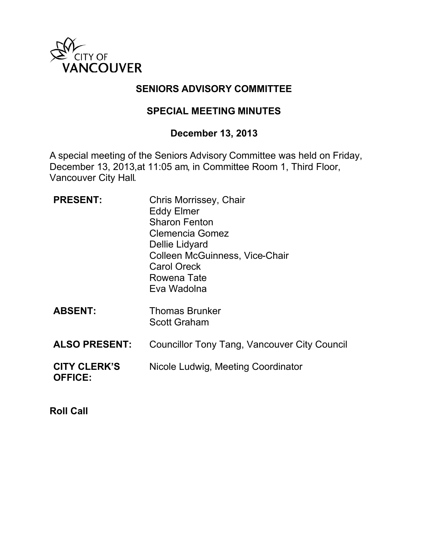

## **SENIORS ADVISORY COMMITTEE**

### **SPECIAL MEETING MINUTES**

# **December 13, 2013**

A special meeting of the Seniors Advisory Committee was held on Friday, December 13, 2013,at 11:05 am, in Committee Room 1, Third Floor, Vancouver City Hall.

| <b>PRESENT:</b>                       | Chris Morrissey, Chair<br><b>Eddy Elmer</b><br><b>Sharon Fenton</b><br><b>Clemencia Gomez</b><br>Dellie Lidyard<br>Colleen McGuinness, Vice-Chair<br><b>Carol Oreck</b><br>Rowena Tate<br>Eva Wadolna |
|---------------------------------------|-------------------------------------------------------------------------------------------------------------------------------------------------------------------------------------------------------|
| <b>ABSENT:</b>                        | <b>Thomas Brunker</b><br><b>Scott Graham</b>                                                                                                                                                          |
| <b>ALSO PRESENT:</b>                  | Councillor Tony Tang, Vancouver City Council                                                                                                                                                          |
| <b>CITY CLERK'S</b><br><b>OFFICE:</b> | Nicole Ludwig, Meeting Coordinator                                                                                                                                                                    |

**Roll Call**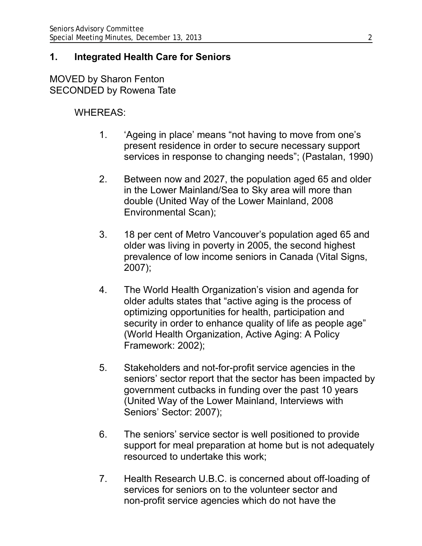### **1. Integrated Health Care for Seniors**

MOVED by Sharon Fenton SECONDED by Rowena Tate

## WHEREAS:

- 1. 'Ageing in place' means "not having to move from one's present residence in order to secure necessary support services in response to changing needs"; (Pastalan, 1990)
- 2. Between now and 2027, the population aged 65 and older in the Lower Mainland/Sea to Sky area will more than double (United Way of the Lower Mainland, 2008 Environmental Scan);
- 3. 18 per cent of Metro Vancouver's population aged 65 and older was living in poverty in 2005, the second highest prevalence of low income seniors in Canada (Vital Signs, 2007);
- 4. The World Health Organization's vision and agenda for older adults states that "active aging is the process of optimizing opportunities for health, participation and security in order to enhance quality of life as people age" (World Health Organization, Active Aging: A Policy Framework: 2002);
- 5. Stakeholders and not-for-profit service agencies in the seniors' sector report that the sector has been impacted by government cutbacks in funding over the past 10 years (United Way of the Lower Mainland, Interviews with Seniors' Sector: 2007);
- 6. The seniors' service sector is well positioned to provide support for meal preparation at home but is not adequately resourced to undertake this work;
- 7. Health Research U.B.C. is concerned about off-loading of services for seniors on to the volunteer sector and non-profit service agencies which do not have the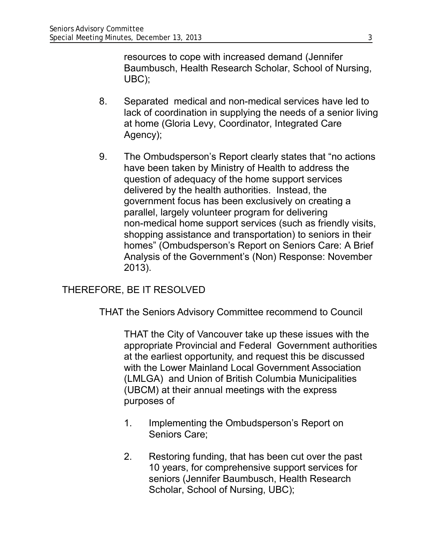resources to cope with increased demand (Jennifer Baumbusch, Health Research Scholar, School of Nursing, UBC);

- 8. Separated medical and non-medical services have led to lack of coordination in supplying the needs of a senior living at home (Gloria Levy, Coordinator, Integrated Care Agency);
- 9. The Ombudsperson's Report clearly states that "no actions have been taken by Ministry of Health to address the question of adequacy of the home support services delivered by the health authorities. Instead, the government focus has been exclusively on creating a parallel, largely volunteer program for delivering non-medical home support services (such as friendly visits, shopping assistance and transportation) to seniors in their homes" (Ombudsperson's Report on Seniors Care: A Brief Analysis of the Government's (Non) Response: November 2013).

### THEREFORE, BE IT RESOLVED

THAT the Seniors Advisory Committee recommend to Council

THAT the City of Vancouver take up these issues with the appropriate Provincial and Federal Government authorities at the earliest opportunity, and request this be discussed with the Lower Mainland Local Government Association (LMLGA) and Union of British Columbia Municipalities (UBCM) at their annual meetings with the express purposes of

- 1. Implementing the Ombudsperson's Report on Seniors Care;
- 2. Restoring funding, that has been cut over the past 10 years, for comprehensive support services for seniors (Jennifer Baumbusch, Health Research Scholar, School of Nursing, UBC);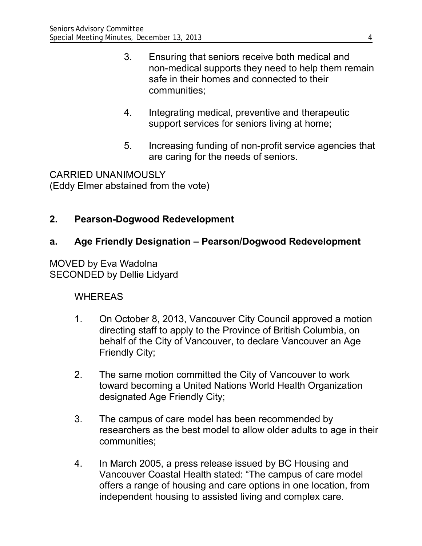- 3. Ensuring that seniors receive both medical and non-medical supports they need to help them remain safe in their homes and connected to their communities;
- 4. Integrating medical, preventive and therapeutic support services for seniors living at home;
- 5. Increasing funding of non-profit service agencies that are caring for the needs of seniors.

CARRIED UNANIMOUSLY (Eddy Elmer abstained from the vote)

# **2. Pearson-Dogwood Redevelopment**

## **a. Age Friendly Designation – Pearson/Dogwood Redevelopment**

MOVED by Eva Wadolna SECONDED by Dellie Lidyard

## WHEREAS

- 1. On October 8, 2013, Vancouver City Council approved a motion directing staff to apply to the Province of British Columbia, on behalf of the City of Vancouver, to declare Vancouver an Age Friendly City;
- 2. The same motion committed the City of Vancouver to work toward becoming a United Nations World Health Organization designated Age Friendly City;
- 3. The campus of care model has been recommended by researchers as the best model to allow older adults to age in their communities;
- 4. In March 2005, a press release issued by BC Housing and Vancouver Coastal Health stated: "The campus of care model offers a range of housing and care options in one location, from independent housing to assisted living and complex care.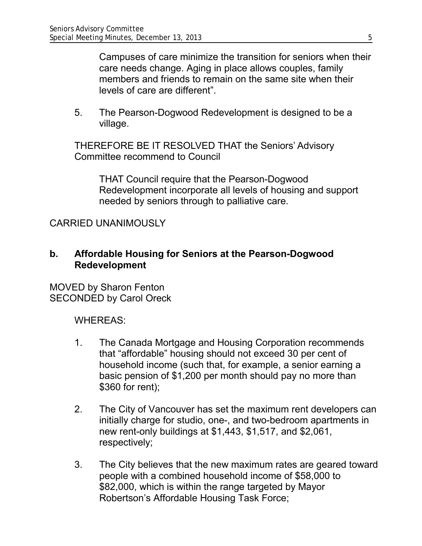Campuses of care minimize the transition for seniors when their care needs change. Aging in place allows couples, family members and friends to remain on the same site when their levels of care are different".

5. The Pearson-Dogwood Redevelopment is designed to be a village.

THEREFORE BE IT RESOLVED THAT the Seniors' Advisory Committee recommend to Council

THAT Council require that the Pearson-Dogwood Redevelopment incorporate all levels of housing and support needed by seniors through to palliative care.

## CARRIED UNANIMOUSLY

#### **b. Affordable Housing for Seniors at the Pearson-Dogwood Redevelopment**

MOVED by Sharon Fenton SECONDED by Carol Oreck

WHEREAS:

- 1. The Canada Mortgage and Housing Corporation recommends that "affordable" housing should not exceed 30 per cent of household income (such that, for example, a senior earning a basic pension of \$1,200 per month should pay no more than \$360 for rent);
- 2. The City of Vancouver has set the maximum rent developers can initially charge for studio, one-, and two-bedroom apartments in new rent-only buildings at \$1,443, \$1,517, and \$2,061, respectively;
- 3. The City believes that the new maximum rates are geared toward people with a combined household income of \$58,000 to \$82,000, which is within the range targeted by Mayor Robertson's Affordable Housing Task Force;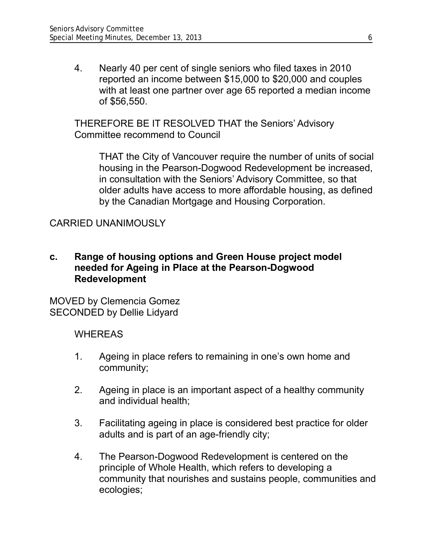4. Nearly 40 per cent of single seniors who filed taxes in 2010 reported an income between \$15,000 to \$20,000 and couples with at least one partner over age 65 reported a median income of \$56,550.

THEREFORE BE IT RESOLVED THAT the Seniors' Advisory Committee recommend to Council

THAT the City of Vancouver require the number of units of social housing in the Pearson-Dogwood Redevelopment be increased, in consultation with the Seniors' Advisory Committee, so that older adults have access to more affordable housing, as defined by the Canadian Mortgage and Housing Corporation.

### CARRIED UNANIMOUSLY

### **c. Range of housing options and Green House project model needed for Ageing in Place at the Pearson-Dogwood Redevelopment**

MOVED by Clemencia Gomez SECONDED by Dellie Lidyard

### **WHEREAS**

- 1. Ageing in place refers to remaining in one's own home and community;
- 2. Ageing in place is an important aspect of a healthy community and individual health;
- 3. Facilitating ageing in place is considered best practice for older adults and is part of an age-friendly city;
- 4. The Pearson-Dogwood Redevelopment is centered on the principle of Whole Health, which refers to developing a community that nourishes and sustains people, communities and ecologies;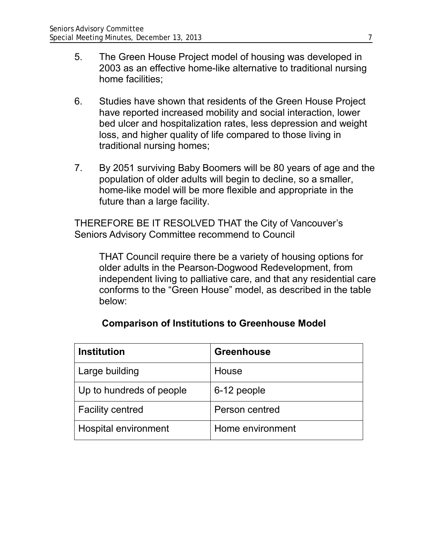- 5. The Green House Project model of housing was developed in 2003 as an effective home-like alternative to traditional nursing home facilities;
- 6. Studies have shown that residents of the Green House Project have reported increased mobility and social interaction, lower bed ulcer and hospitalization rates, less depression and weight loss, and higher quality of life compared to those living in traditional nursing homes;
- 7. By 2051 surviving Baby Boomers will be 80 years of age and the population of older adults will begin to decline, so a smaller, home-like model will be more flexible and appropriate in the future than a large facility.

THEREFORE BE IT RESOLVED THAT the City of Vancouver's Seniors Advisory Committee recommend to Council

THAT Council require there be a variety of housing options for older adults in the Pearson-Dogwood Redevelopment, from independent living to palliative care, and that any residential care conforms to the "Green House" model, as described in the table below:

| <b>Institution</b>       | <b>Greenhouse</b> |
|--------------------------|-------------------|
| Large building           | House             |
| Up to hundreds of people | 6-12 people       |
| <b>Facility centred</b>  | Person centred    |
| Hospital environment     | Home environment  |

### **Comparison of Institutions to Greenhouse Model**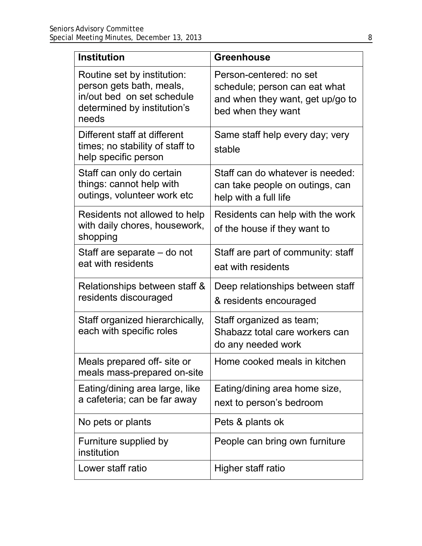| <b>Institution</b>                                                                                                            | <b>Greenhouse</b>                                                                                                  |
|-------------------------------------------------------------------------------------------------------------------------------|--------------------------------------------------------------------------------------------------------------------|
| Routine set by institution:<br>person gets bath, meals,<br>in/out bed on set schedule<br>determined by institution's<br>needs | Person-centered: no set<br>schedule; person can eat what<br>and when they want, get up/go to<br>bed when they want |
| Different staff at different<br>times; no stability of staff to<br>help specific person                                       | Same staff help every day; very<br>stable                                                                          |
| Staff can only do certain<br>things: cannot help with<br>outings, volunteer work etc                                          | Staff can do whatever is needed:<br>can take people on outings, can<br>help with a full life                       |
| Residents not allowed to help<br>with daily chores, housework,<br>shopping                                                    | Residents can help with the work<br>of the house if they want to                                                   |
| Staff are separate – do not<br>eat with residents                                                                             | Staff are part of community: staff<br>eat with residents                                                           |
| Relationships between staff &<br>residents discouraged                                                                        | Deep relationships between staff<br>& residents encouraged                                                         |
| Staff organized hierarchically,<br>each with specific roles                                                                   | Staff organized as team;<br>Shabazz total care workers can<br>do any needed work                                   |
| Meals prepared off- site or<br>meals mass-prepared on-site                                                                    | Home cooked meals in kitchen                                                                                       |
| Eating/dining area large, like<br>a cafeteria; can be far away                                                                | Eating/dining area home size,<br>next to person's bedroom                                                          |
| No pets or plants                                                                                                             | Pets & plants ok                                                                                                   |
| Furniture supplied by<br>institution                                                                                          | People can bring own furniture                                                                                     |
| Lower staff ratio                                                                                                             | Higher staff ratio                                                                                                 |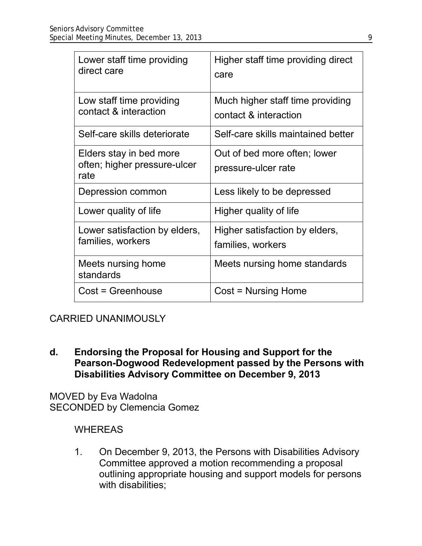| Lower staff time providing<br>direct care                       | Higher staff time providing direct<br>care                |
|-----------------------------------------------------------------|-----------------------------------------------------------|
| Low staff time providing<br>contact & interaction               | Much higher staff time providing<br>contact & interaction |
| Self-care skills deteriorate                                    | Self-care skills maintained better                        |
| Elders stay in bed more<br>often; higher pressure-ulcer<br>rate | Out of bed more often; lower<br>pressure-ulcer rate       |
| Depression common                                               | Less likely to be depressed                               |
| Lower quality of life                                           | Higher quality of life                                    |
| Lower satisfaction by elders,<br>families, workers              | Higher satisfaction by elders,<br>families, workers       |
| Meets nursing home<br>standards                                 | Meets nursing home standards                              |
| Cost = Greenhouse                                               | Cost = Nursing Home                                       |

## CARRIED UNANIMOUSLY

**d. Endorsing the Proposal for Housing and Support for the Pearson-Dogwood Redevelopment passed by the Persons with Disabilities Advisory Committee on December 9, 2013**

MOVED by Eva Wadolna SECONDED by Clemencia Gomez

### **WHEREAS**

1. On December 9, 2013, the Persons with Disabilities Advisory Committee approved a motion recommending a proposal outlining appropriate housing and support models for persons with disabilities;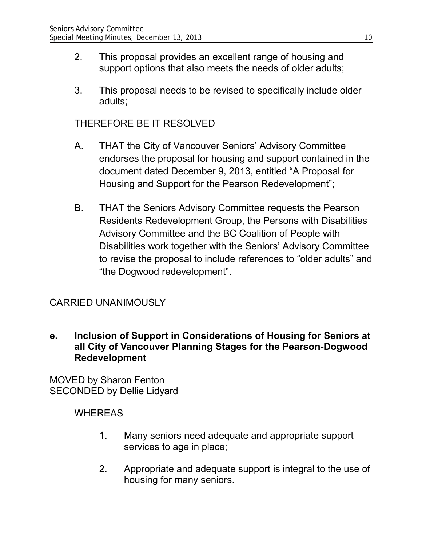- 2. This proposal provides an excellent range of housing and support options that also meets the needs of older adults;
- 3. This proposal needs to be revised to specifically include older adults;

### THEREFORE BE IT RESOLVED

- A. THAT the City of Vancouver Seniors' Advisory Committee endorses the proposal for housing and support contained in the document dated December 9, 2013, entitled "A Proposal for Housing and Support for the Pearson Redevelopment";
- B. THAT the Seniors Advisory Committee requests the Pearson Residents Redevelopment Group, the Persons with Disabilities Advisory Committee and the BC Coalition of People with Disabilities work together with the Seniors' Advisory Committee to revise the proposal to include references to "older adults" and "the Dogwood redevelopment".

## CARRIED UNANIMOUSLY

**e. Inclusion of Support in Considerations of Housing for Seniors at all City of Vancouver Planning Stages for the Pearson-Dogwood Redevelopment**

MOVED by Sharon Fenton SECONDED by Dellie Lidyard

### WHEREAS

- 1. Many seniors need adequate and appropriate support services to age in place;
- 2. Appropriate and adequate support is integral to the use of housing for many seniors.